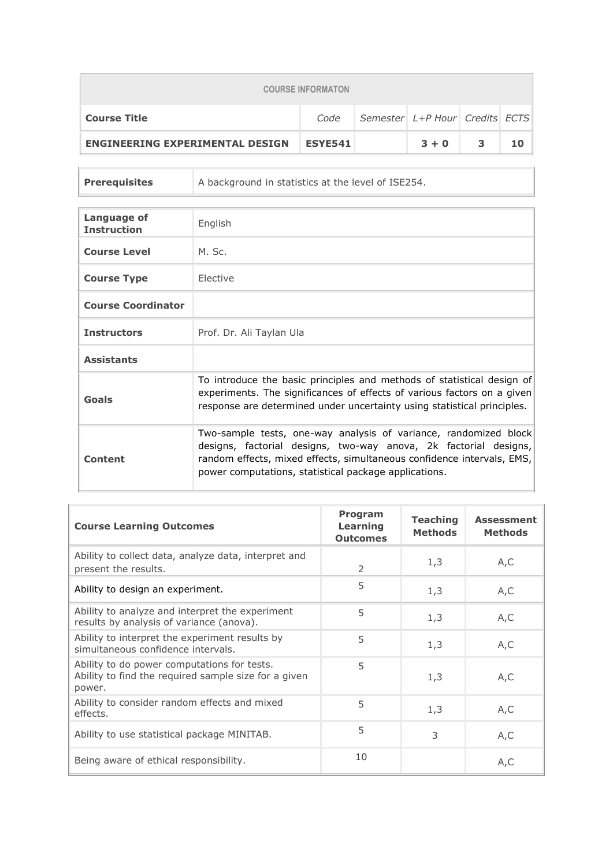| <b>COURSE INFORMATON</b>               |                |                                |         |   |    |  |
|----------------------------------------|----------------|--------------------------------|---------|---|----|--|
| <b>Course Title</b>                    | Code           | Semester L+P Hour Credits ECTS |         |   |    |  |
| <b>ENGINEERING EXPERIMENTAL DESIGN</b> | <b>ESYE541</b> |                                | $3 + 0$ | 3 | 10 |  |

| <b>Prerequisites</b> | A background in statistics at the level of ISE254. |
|----------------------|----------------------------------------------------|
|                      |                                                    |

| <b>Language of</b><br><b>Instruction</b> | English                                                                                                                                                                                                                                                                 |
|------------------------------------------|-------------------------------------------------------------------------------------------------------------------------------------------------------------------------------------------------------------------------------------------------------------------------|
| <b>Course Level</b>                      | M. Sc.                                                                                                                                                                                                                                                                  |
| <b>Course Type</b>                       | Elective                                                                                                                                                                                                                                                                |
| <b>Course Coordinator</b>                |                                                                                                                                                                                                                                                                         |
| <b>Instructors</b>                       | Prof. Dr. Ali Taylan Ula                                                                                                                                                                                                                                                |
| <b>Assistants</b>                        |                                                                                                                                                                                                                                                                         |
| Goals                                    | To introduce the basic principles and methods of statistical design of<br>experiments. The significances of effects of various factors on a given<br>response are determined under uncertainty using statistical principles.                                            |
| <b>Content</b>                           | Two-sample tests, one-way analysis of variance, randomized block<br>designs, factorial designs, two-way anova, 2k factorial designs,<br>random effects, mixed effects, simultaneous confidence intervals, EMS,<br>power computations, statistical package applications. |

| <b>Course Learning Outcomes</b>                                                                               | <b>Program</b><br>Learning<br><b>Outcomes</b> | <b>Teaching</b><br><b>Methods</b> | <b>Assessment</b><br><b>Methods</b> |
|---------------------------------------------------------------------------------------------------------------|-----------------------------------------------|-----------------------------------|-------------------------------------|
| Ability to collect data, analyze data, interpret and<br>present the results.                                  | 2                                             | 1,3                               | A, C                                |
| Ability to design an experiment.                                                                              | 5                                             | 1,3                               | A,C                                 |
| Ability to analyze and interpret the experiment<br>results by analysis of variance (anova).                   | 5                                             | 1,3                               | A, C                                |
| Ability to interpret the experiment results by<br>simultaneous confidence intervals.                          | 5                                             | 1,3                               | A,C                                 |
| Ability to do power computations for tests.<br>Ability to find the required sample size for a given<br>power. | 5                                             | 1,3                               | A,C                                 |
| Ability to consider random effects and mixed<br>effects.                                                      | 5                                             | 1,3                               | A,C                                 |
| Ability to use statistical package MINITAB.                                                                   | 5                                             | 3                                 | A,C                                 |
| Being aware of ethical responsibility.                                                                        | 10                                            |                                   | A, C                                |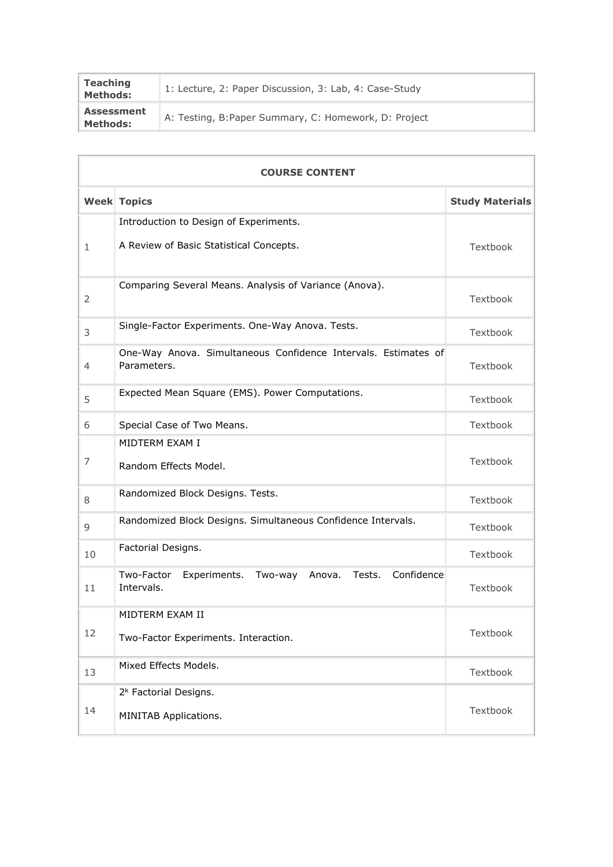| <b>Teaching</b><br><b>Methods:</b>   | 1: Lecture, 2: Paper Discussion, 3: Lab, 4: Case-Study |
|--------------------------------------|--------------------------------------------------------|
| <b>Assessment</b><br><b>Methods:</b> | A: Testing, B: Paper Summary, C: Homework, D: Project  |

|                | <b>COURSE CONTENT</b>                                                                 |          |  |  |  |
|----------------|---------------------------------------------------------------------------------------|----------|--|--|--|
|                | <b>Week Topics</b><br><b>Study Materials</b>                                          |          |  |  |  |
|                | Introduction to Design of Experiments.                                                |          |  |  |  |
| $\mathbf{1}$   | A Review of Basic Statistical Concepts.                                               | Textbook |  |  |  |
| 2              | Comparing Several Means. Analysis of Variance (Anova).                                | Textbook |  |  |  |
| 3              | Single-Factor Experiments. One-Way Anova. Tests.                                      | Textbook |  |  |  |
| $\overline{4}$ | One-Way Anova. Simultaneous Confidence Intervals. Estimates of<br>Parameters.         | Textbook |  |  |  |
| 5              | Expected Mean Square (EMS). Power Computations.                                       | Textbook |  |  |  |
| 6              | Special Case of Two Means.                                                            | Textbook |  |  |  |
| 7              | MIDTERM EXAM I<br>Random Effects Model.                                               | Textbook |  |  |  |
| 8              | Randomized Block Designs. Tests.                                                      | Textbook |  |  |  |
| 9              | Randomized Block Designs. Simultaneous Confidence Intervals.                          | Textbook |  |  |  |
| 10             | Factorial Designs.                                                                    | Textbook |  |  |  |
| 11             | Two-Factor<br>Experiments.<br>Tests.<br>Confidence<br>Two-way<br>Anova.<br>Intervals. | Textbook |  |  |  |
| 12             | MIDTERM EXAM II<br>Two-Factor Experiments. Interaction.                               | Textbook |  |  |  |
| 13             | Mixed Effects Models.                                                                 | Textbook |  |  |  |
| 14             | 2 <sup>k</sup> Factorial Designs.<br>MINITAB Applications.                            | Textbook |  |  |  |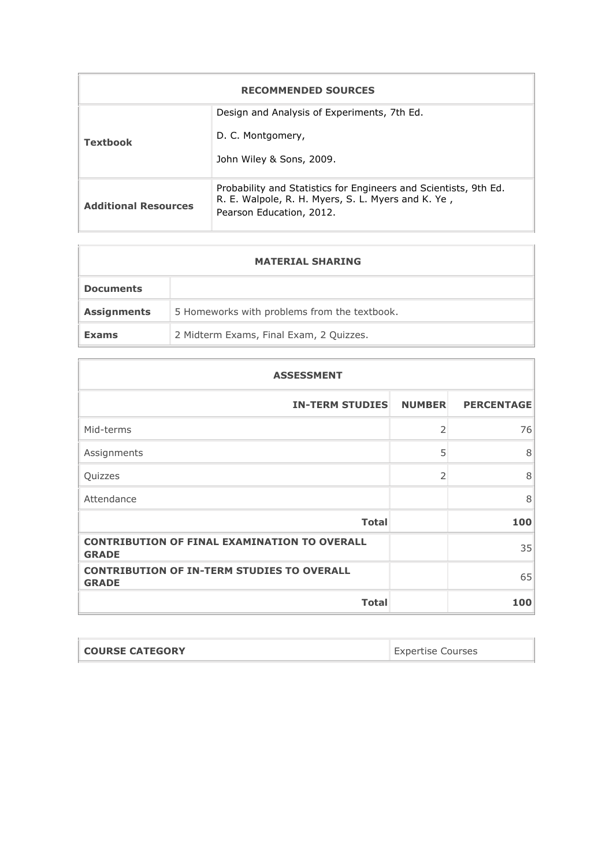| <b>RECOMMENDED SOURCES</b>  |                                                                                                                                                    |  |  |  |
|-----------------------------|----------------------------------------------------------------------------------------------------------------------------------------------------|--|--|--|
| <b>Textbook</b>             | Design and Analysis of Experiments, 7th Ed.<br>D. C. Montgomery,<br>John Wiley & Sons, 2009.                                                       |  |  |  |
| <b>Additional Resources</b> | Probability and Statistics for Engineers and Scientists, 9th Ed.<br>R. E. Walpole, R. H. Myers, S. L. Myers and K. Ye,<br>Pearson Education, 2012. |  |  |  |

| <b>MATERIAL SHARING</b> |                                              |  |  |
|-------------------------|----------------------------------------------|--|--|
| <b>Documents</b>        |                                              |  |  |
| <b>Assignments</b>      | 5 Homeworks with problems from the textbook. |  |  |
| <b>Exams</b>            | 2 Midterm Exams, Final Exam, 2 Quizzes.      |  |  |

| <b>ASSESSMENT</b>                                                   |                |                   |  |  |
|---------------------------------------------------------------------|----------------|-------------------|--|--|
| <b>IN-TERM STUDIES</b>                                              | <b>NUMBER</b>  | <b>PERCENTAGE</b> |  |  |
| Mid-terms                                                           | $\overline{2}$ | 76                |  |  |
| Assignments                                                         | 5              | 8                 |  |  |
| Quizzes                                                             | $\overline{2}$ | 8                 |  |  |
| Attendance                                                          |                | 8                 |  |  |
| <b>Total</b>                                                        |                | 100               |  |  |
| <b>CONTRIBUTION OF FINAL EXAMINATION TO OVERALL</b><br><b>GRADE</b> |                | 35                |  |  |
| <b>CONTRIBUTION OF IN-TERM STUDIES TO OVERALL</b><br><b>GRADE</b>   |                | 65                |  |  |
| <b>Total</b>                                                        |                | 100               |  |  |

| <b>COURSE CATEGORY</b> | <b>Expertise Courses</b> |
|------------------------|--------------------------|
|                        |                          |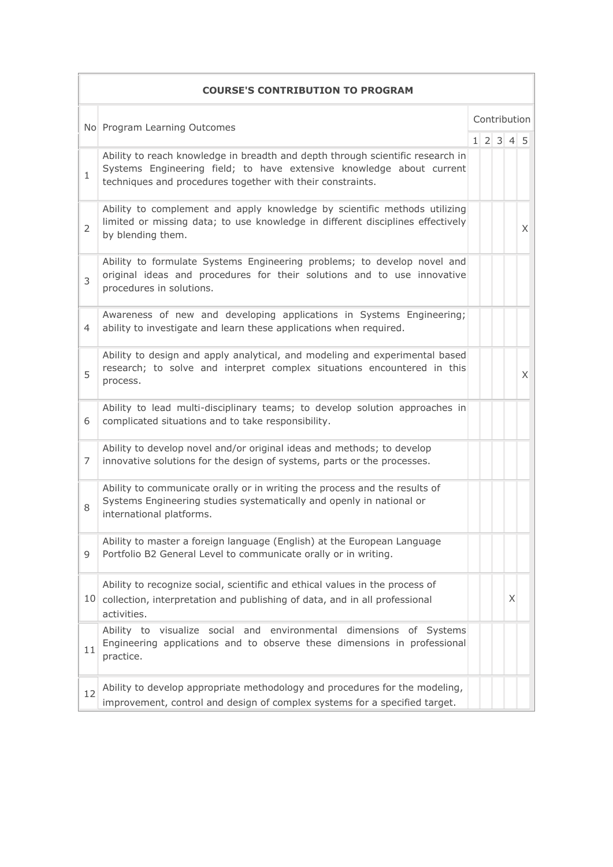|                | <b>COURSE'S CONTRIBUTION TO PROGRAM</b>                                                                                                                                                                              |  |              |                     |   |   |
|----------------|----------------------------------------------------------------------------------------------------------------------------------------------------------------------------------------------------------------------|--|--------------|---------------------|---|---|
|                | No Program Learning Outcomes                                                                                                                                                                                         |  | Contribution |                     |   |   |
|                |                                                                                                                                                                                                                      |  |              | $1 \t2 \t3 \t4 \t5$ |   |   |
| $\mathbf{1}$   | Ability to reach knowledge in breadth and depth through scientific research in<br>Systems Engineering field; to have extensive knowledge about current<br>techniques and procedures together with their constraints. |  |              |                     |   |   |
| $\overline{2}$ | Ability to complement and apply knowledge by scientific methods utilizing<br>limited or missing data; to use knowledge in different disciplines effectively<br>by blending them.                                     |  |              |                     |   | X |
| 3              | Ability to formulate Systems Engineering problems; to develop novel and<br>original ideas and procedures for their solutions and to use innovative<br>procedures in solutions.                                       |  |              |                     |   |   |
| 4              | Awareness of new and developing applications in Systems Engineering;<br>ability to investigate and learn these applications when required.                                                                           |  |              |                     |   |   |
| 5              | Ability to design and apply analytical, and modeling and experimental based<br>research; to solve and interpret complex situations encountered in this<br>process.                                                   |  |              |                     |   | X |
| 6              | Ability to lead multi-disciplinary teams; to develop solution approaches in<br>complicated situations and to take responsibility.                                                                                    |  |              |                     |   |   |
| 7              | Ability to develop novel and/or original ideas and methods; to develop<br>innovative solutions for the design of systems, parts or the processes.                                                                    |  |              |                     |   |   |
| 8              | Ability to communicate orally or in writing the process and the results of<br>Systems Engineering studies systematically and openly in national or<br>international platforms.                                       |  |              |                     |   |   |
| 9              | Ability to master a foreign language (English) at the European Language<br>Portfolio B2 General Level to communicate orally or in writing.                                                                           |  |              |                     |   |   |
|                | Ability to recognize social, scientific and ethical values in the process of<br>10 collection, interpretation and publishing of data, and in all professional<br>activities.                                         |  |              |                     | X |   |
| 11             | Ability to visualize social and environmental dimensions of Systems<br>Engineering applications and to observe these dimensions in professional<br>practice.                                                         |  |              |                     |   |   |
| 12             | Ability to develop appropriate methodology and procedures for the modeling,<br>improvement, control and design of complex systems for a specified target.                                                            |  |              |                     |   |   |